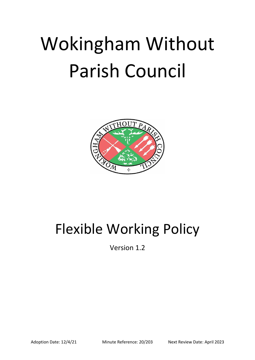# Wokingham Without Parish Council



# Flexible Working Policy

Version 1.2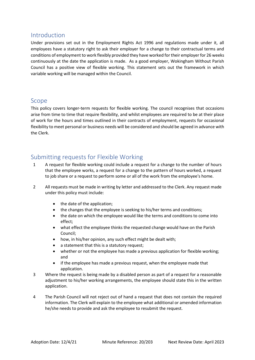#### Introduction

Under provisions set out in the Employment Rights Act 1996 and regulations made under it, all employees have a statutory right to ask their employer for a change to their contractual terms and conditions of employment to work flexibly provided they have worked for their employer for 26 weeks continuously at the date the application is made. As a good employer, Wokingham Without Parish Council has a positive view of flexible working. This statement sets out the framework in which variable working will be managed within the Council.

#### Scope

This policy covers longer-term requests for flexible working. The council recognises that occasions arise from time to time that require flexibility, and whilst employees are required to be at their place of work for the hours and times outlined in their contracts of employment, requests for occasional flexibility to meet personal or business needs will be considered and should be agreed in advance with the Clerk.

### Submitting requests for Flexible Working

- 1 A request for flexible working could include a request for a change to the number of hours that the employee works, a request for a change to the pattern of hours worked, a request to job share or a request to perform some or all of the work from the employee's home.
- 2 All requests must be made in writing by letter and addressed to the Clerk. Any request made under this policy must include:
	- the date of the application;
	- the changes that the employee is seeking to his/her terms and conditions;
	- the date on which the employee would like the terms and conditions to come into effect;
	- what effect the employee thinks the requested change would have on the Parish Council;
	- how, in his/her opinion, any such effect might be dealt with;
	- a statement that this is a statutory request;
	- whether or not the employee has made a previous application for flexible working; and
	- if the employee has made a previous request, when the employee made that application.
- 3 Where the request is being made by a disabled person as part of a request for a reasonable adjustment to his/her working arrangements, the employee should state this in the written application.
- 4 The Parish Council will not reject out of hand a request that does not contain the required information. The Clerk will explain to the employee what additional or amended information he/she needs to provide and ask the employee to resubmit the request.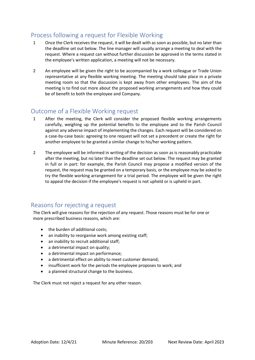## Process following a request for Flexible Working

- 1 Once the Clerk receives the request, it will be dealt with as soon as possible, but no later than the deadline set out below. The line manager will usually arrange a meeting to deal with the request. Where a request can without further discussion be approved in the terms stated in the employee's written application, a meeting will not be necessary.
- 2 An employee will be given the right to be accompanied by a work colleague or Trade Union representative at any flexible working meeting. The meeting should take place in a private meeting room so that the discussion is kept away from other employees. The aim of the meeting is to find out more about the proposed working arrangements and how they could be of benefit to both the employee and Company.

#### Outcome of a Flexible Working request

- 1 After the meeting, the Clerk will consider the proposed flexible working arrangements carefully, weighing up the potential benefits to the employee and to the Parish Council against any adverse impact of implementing the changes. Each request will be considered on a case-by-case basis: agreeing to one request will not set a precedent or create the right for another employee to be granted a similar change to his/her working pattern.
- 2 The employee will be informed in writing of the decision as soon as is reasonably practicable after the meeting, but no later than the deadline set out below. The request may be granted in full or in part: for example, the Parish Council may propose a modified version of the request, the request may be granted on a temporary basis, or the employee may be asked to try the flexible working arrangement for a trial period. The employee will be given the right to appeal the decision if the employee's request is not upheld or is upheld in part.

#### Reasons for rejecting a request

The Clerk will give reasons for the rejection of any request. Those reasons must be for one or more prescribed business reasons, which are:

- the burden of additional costs;
- an inability to reorganise work among existing staff;
- an inability to recruit additional staff;
- a detrimental impact on quality;
- a detrimental impact on performance;
- a detrimental effect on ability to meet customer demand;
- insufficient work for the periods the employee proposes to work; and
- a planned structural change to the business.

The Clerk must not reject a request for any other reason.